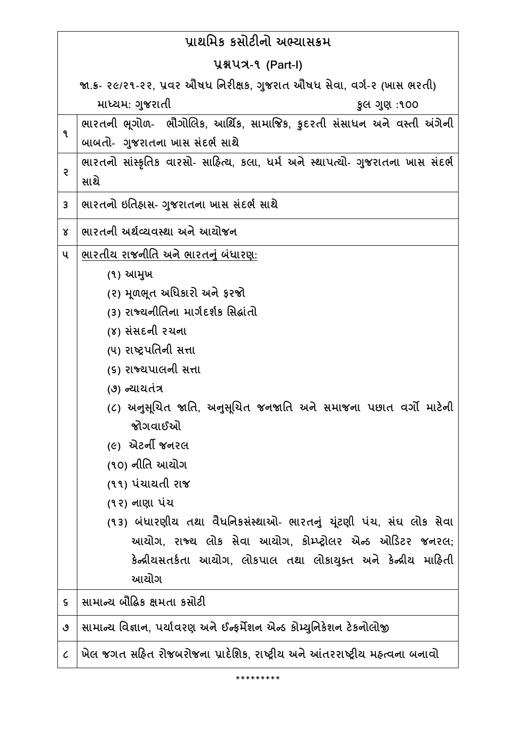| પ્રાથમિક કસોટીનો અભ્યાસક્રમ |                                                                                |
|-----------------------------|--------------------------------------------------------------------------------|
|                             | <b>U&amp;UA-9 (Part-I)</b>                                                     |
|                             | જા.ક- ૨૯/૨૧-૨૨, પ્રવર ઔષધ નિરીક્ષક, ગુજરાત ઔષધ સેવા, વર્ગ-૨ (ખાસ ભરતી)         |
|                             | માધ્યમ: ગુજરાતી<br>કુલ ગુણ:૧૦૦                                                 |
| ٩                           | ભારતની ભૂગોળ- ભૌગોલિક, આર્થિક, સામાજિક, કુદરતી સંસાધન અને વસ્તી અંગેની         |
|                             | બાબતો- ગુજરાતના ખાસ સંદર્ભ સાથે                                                |
| ę.                          | ભારતનો સાંસ્કૃતિક વારસો- સાહિત્ય, કલા, ધર્મ અને સ્થાપત્યો- ગુજરાતના ખાસ સંદર્ભ |
|                             | સાથે                                                                           |
| 3                           | ભારતનો ઇતિહ્નસ- ગુજરાતના ખાસ સંદર્ભ સાથે                                       |
| Χ                           | ભારતની અર્થવ્યવસ્થા અને આચોજન                                                  |
| ૫                           | ભારતીય રાજનીતિ અને ભારતનું બંધારણ:                                             |
|                             | (૧) આમુખ                                                                       |
|                             | (૨) મૂળભૂત અધિકારો અને ફરજો                                                    |
|                             | (3) રાજ્યનીતિના માર્ગદર્શક સિદ્ધાંતો                                           |
|                             | (૪) સંસદની રચના                                                                |
|                             | (૫) રાષ્ટ્રપતિની સત્તા                                                         |
|                             | (૬) રાજ્યપાલની સત્તા                                                           |
|                             | (૭) ન્યાયતંત્ર                                                                 |
|                             | (૮) અનુસૂચિત જાતિ, અનુસૂચિત જનજાતિ અને સમાજના પછાત વર્ગો માટેની<br>જોગવાઈઓ     |
|                             | <i>(૯)</i> એટર્ની જનરલ                                                         |
|                             | (૧૦) નીતિ આચોગ                                                                 |
|                             | (૧૧) પંચાયતી રાજ                                                               |
|                             | (૧૨) નાણા પંચ                                                                  |
|                             | (૧૩) બંધારણીય તથા વૈધનિકસંસ્થાઓ- ભારતનું યુંટણી પંચ, સંઘ લોક સેવા              |
|                             | આયોગ, રાજ્ય લોક સેવા આયોગ, કોમ્પ્ટ્રોલર એન્ડ ઓડિટર જનરલ;                       |
|                             | કેન્દ્રીયસતર્કતા આયોગ, લોકપાલ તથા લોકાયુક્ત અને કેન્દ્રીય માહિતી               |
|                             | આયોગ                                                                           |
| $\mathsf S$                 | સામાન્ય બૌદ્ધિક ક્ષમતા કસોટી                                                   |
| ৩                           | સામાન્ય વિજ્ઞાન, પર્યાવરણ અને ઈન્ફર્મેશન એન્ડ કોમ્યુનિકેશન ટેકનોલોજી           |
| $\mathcal{C}_{\mathcal{C}}$ | ખેલ જગત સહિત રોજબરોજના પ્રાદેશિક, રાષ્ટ્રીય અને આંતરરાષ્ટ્રીય મહ્ત્વના બનાવો   |

\*\*\*\*\*\*\*\*\*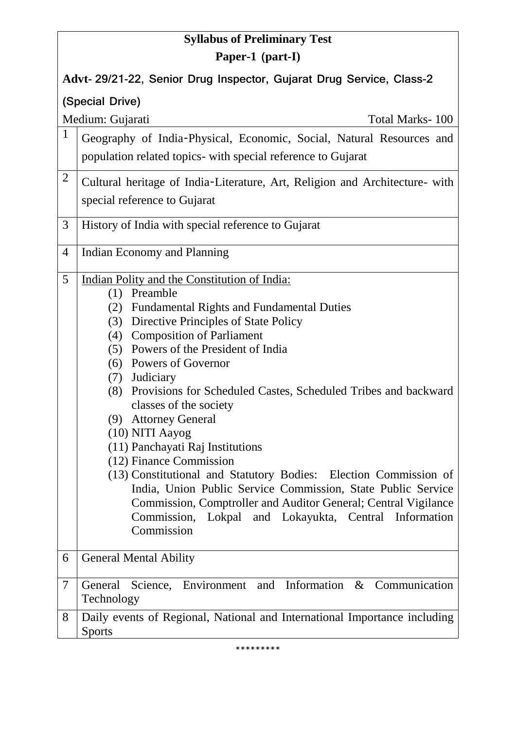## **Syllabus of Preliminary Test Paper-1 (part-I)**

**Advt- 29/21-22, Senior Drug Inspector, Gujarat Drug Service, Class-2** 

**(Special Drive)**

Medium: Gujarati Total Marks- 100

| Geography of India-Physical, Economic, Social, Natural Resources and<br>population related topics- with special reference to Gujarat |
|--------------------------------------------------------------------------------------------------------------------------------------|
| Cultural heritage of India-Literature, Art, Religion and Architecture- with  <br>special reference to Gujarat                        |
| History of India with special reference to Gujarat                                                                                   |
| Indian Economy and Planning                                                                                                          |

- 5 Indian Polity and the Constitution of India:
	- (1) Preamble
	- (2) Fundamental Rights and Fundamental Duties
	- (3) Directive Principles of State Policy
	- (4) Composition of Parliament
	- (5) Powers of the President of India
	- (6) Powers of Governor
	- (7) Judiciary
	- (8) Provisions for Scheduled Castes, Scheduled Tribes and backward classes of the society
	- (9) Attorney General
	- (10) NITI Aayog
	- (11) Panchayati Raj Institutions
	- (12) Finance Commission
	- (13) Constitutional and Statutory Bodies: Election Commission of India, Union Public Service Commission, State Public Service Commission, Comptroller and Auditor General; Central Vigilance Commission, Lokpal and Lokayukta, Central Information Commission
- 6 General Mental Ability
- 7 General Science, Environment and Information & Communication Technology

## 8 Daily events of Regional, National and International Importance including **Sports**

\*\*\*\*\*\*\*\*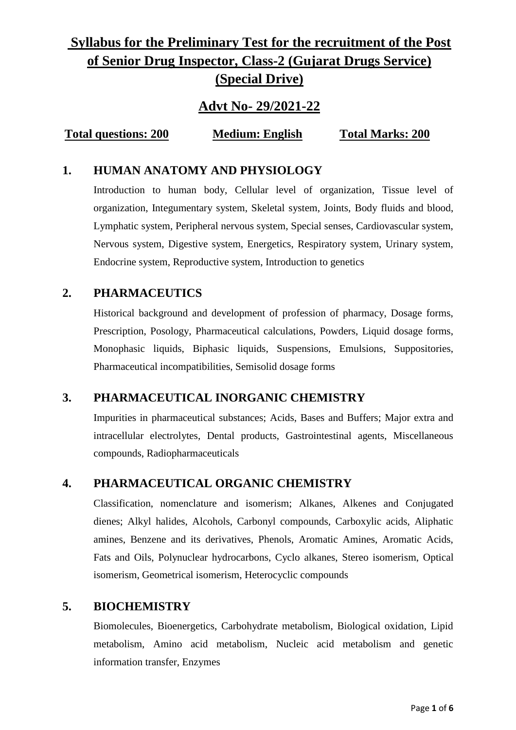# **Syllabus for the Preliminary Test for the recruitment of the Post of Senior Drug Inspector, Class-2 (Gujarat Drugs Service) (Special Drive)**

### **Advt No- 29/2021-22**

**Total questions: 200 Medium: English Total Marks: 200**

### **1. HUMAN ANATOMY AND PHYSIOLOGY**

Introduction to human body, Cellular level of organization, Tissue level of organization, Integumentary system, Skeletal system, Joints, Body fluids and blood, Lymphatic system, Peripheral nervous system, Special senses, Cardiovascular system, Nervous system, Digestive system, Energetics, Respiratory system, Urinary system, Endocrine system, Reproductive system, Introduction to genetics

### **2. PHARMACEUTICS**

Historical background and development of profession of pharmacy, Dosage forms, Prescription, Posology, Pharmaceutical calculations, Powders, Liquid dosage forms, Monophasic liquids, Biphasic liquids, Suspensions, Emulsions, Suppositories, Pharmaceutical incompatibilities, Semisolid dosage forms

### **3. PHARMACEUTICAL INORGANIC CHEMISTRY**

Impurities in pharmaceutical substances; Acids, Bases and Buffers; Major extra and intracellular electrolytes, Dental products, Gastrointestinal agents, Miscellaneous compounds, Radiopharmaceuticals

### **4. PHARMACEUTICAL ORGANIC CHEMISTRY**

Classification, nomenclature and isomerism; Alkanes, Alkenes and Conjugated dienes; Alkyl halides, Alcohols, Carbonyl compounds, Carboxylic acids, Aliphatic amines, Benzene and its derivatives, Phenols, Aromatic Amines, Aromatic Acids, Fats and Oils, Polynuclear hydrocarbons, Cyclo alkanes, Stereo isomerism, Optical isomerism, Geometrical isomerism, Heterocyclic compounds

### **5. BIOCHEMISTRY**

Biomolecules, Bioenergetics, Carbohydrate metabolism, Biological oxidation, Lipid metabolism, Amino acid metabolism, Nucleic acid metabolism and genetic information transfer, Enzymes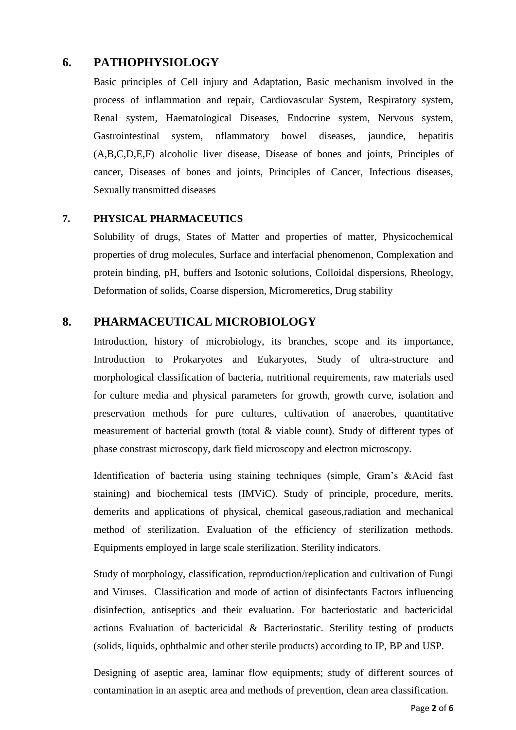### **6. PATHOPHYSIOLOGY**

Basic principles of Cell injury and Adaptation, Basic mechanism involved in the process of inflammation and repair, Cardiovascular System, Respiratory system, Renal system, Haematological Diseases, Endocrine system, Nervous system, Gastrointestinal system, nflammatory bowel diseases, jaundice, hepatitis (A,B,C,D,E,F) alcoholic liver disease, Disease of bones and joints, Principles of cancer, Diseases of bones and joints, Principles of Cancer, Infectious diseases, Sexually transmitted diseases

#### **7. PHYSICAL PHARMACEUTICS**

Solubility of drugs, States of Matter and properties of matter, Physicochemical properties of drug molecules, Surface and interfacial phenomenon, Complexation and protein binding, pH, buffers and Isotonic solutions, Colloidal dispersions, Rheology, Deformation of solids, Coarse dispersion, Micromeretics, Drug stability

### **8. PHARMACEUTICAL MICROBIOLOGY**

Introduction, history of microbiology, its branches, scope and its importance, Introduction to Prokaryotes and Eukaryotes, Study of ultra-structure and morphological classification of bacteria, nutritional requirements, raw materials used for culture media and physical parameters for growth, growth curve, isolation and preservation methods for pure cultures, cultivation of anaerobes, quantitative measurement of bacterial growth (total & viable count). Study of different types of phase constrast microscopy, dark field microscopy and electron microscopy.

Identification of bacteria using staining techniques (simple, Gram's &Acid fast staining) and biochemical tests (IMViC). Study of principle, procedure, merits, demerits and applications of physical, chemical gaseous,radiation and mechanical method of sterilization. Evaluation of the efficiency of sterilization methods. Equipments employed in large scale sterilization. Sterility indicators.

Study of morphology, classification, reproduction/replication and cultivation of Fungi and Viruses. Classification and mode of action of disinfectants Factors influencing disinfection, antiseptics and their evaluation. For bacteriostatic and bactericidal actions Evaluation of bactericidal & Bacteriostatic. Sterility testing of products (solids, liquids, ophthalmic and other sterile products) according to IP, BP and USP.

Designing of aseptic area, laminar flow equipments; study of different sources of contamination in an aseptic area and methods of prevention, clean area classification.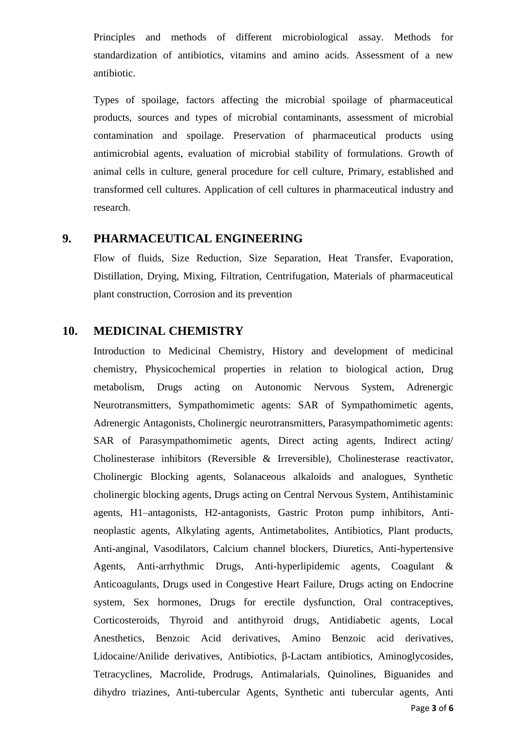Principles and methods of different microbiological assay. Methods for standardization of antibiotics, vitamins and amino acids. Assessment of a new antibiotic.

Types of spoilage, factors affecting the microbial spoilage of pharmaceutical products, sources and types of microbial contaminants, assessment of microbial contamination and spoilage. Preservation of pharmaceutical products using antimicrobial agents, evaluation of microbial stability of formulations. Growth of animal cells in culture, general procedure for cell culture, Primary, established and transformed cell cultures. Application of cell cultures in pharmaceutical industry and research.

#### **9. PHARMACEUTICAL ENGINEERING**

Flow of fluids, Size Reduction, Size Separation, Heat Transfer, Evaporation, Distillation, Drying, Mixing, Filtration, Centrifugation, Materials of pharmaceutical plant construction, Corrosion and its prevention

#### **10. MEDICINAL CHEMISTRY**

Page **3** of **6** Introduction to Medicinal Chemistry, History and development of medicinal chemistry, Physicochemical properties in relation to biological action, Drug metabolism, Drugs acting on Autonomic Nervous System, Adrenergic Neurotransmitters, Sympathomimetic agents: SAR of Sympathomimetic agents, Adrenergic Antagonists, Cholinergic neurotransmitters, Parasympathomimetic agents: SAR of Parasympathomimetic agents, Direct acting agents, Indirect acting/ Cholinesterase inhibitors (Reversible & Irreversible), Cholinesterase reactivator, Cholinergic Blocking agents, Solanaceous alkaloids and analogues, Synthetic cholinergic blocking agents, Drugs acting on Central Nervous System, Antihistaminic agents, H1–antagonists, H2-antagonists, Gastric Proton pump inhibitors, Antineoplastic agents, Alkylating agents, Antimetabolites, Antibiotics, Plant products, Anti-anginal, Vasodilators, Calcium channel blockers, Diuretics, Anti-hypertensive Agents, Anti-arrhythmic Drugs, Anti-hyperlipidemic agents, Coagulant & Anticoagulants, Drugs used in Congestive Heart Failure, Drugs acting on Endocrine system, Sex hormones, Drugs for erectile dysfunction, Oral contraceptives, Corticosteroids, Thyroid and antithyroid drugs, Antidiabetic agents, Local Anesthetics, Benzoic Acid derivatives, Amino Benzoic acid derivatives, Lidocaine/Anilide derivatives, Antibiotics, β-Lactam antibiotics, Aminoglycosides, Tetracyclines, Macrolide, Prodrugs, Antimalarials, Quinolines, Biguanides and dihydro triazines, Anti-tubercular Agents, Synthetic anti tubercular agents, Anti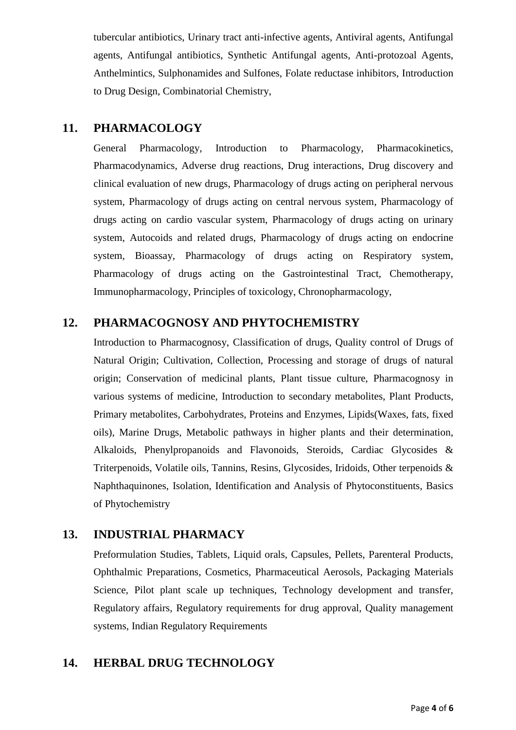tubercular antibiotics, Urinary tract anti-infective agents, Antiviral agents, Antifungal agents, Antifungal antibiotics, Synthetic Antifungal agents, Anti-protozoal Agents, Anthelmintics, Sulphonamides and Sulfones, Folate reductase inhibitors, Introduction to Drug Design, Combinatorial Chemistry,

#### **11. PHARMACOLOGY**

General Pharmacology, Introduction to Pharmacology, Pharmacokinetics, Pharmacodynamics, Adverse drug reactions, Drug interactions, Drug discovery and clinical evaluation of new drugs, Pharmacology of drugs acting on peripheral nervous system, Pharmacology of drugs acting on central nervous system, Pharmacology of drugs acting on cardio vascular system, Pharmacology of drugs acting on urinary system, Autocoids and related drugs, Pharmacology of drugs acting on endocrine system, Bioassay, Pharmacology of drugs acting on Respiratory system, Pharmacology of drugs acting on the Gastrointestinal Tract, Chemotherapy, Immunopharmacology, Principles of toxicology, Chronopharmacology,

### **12. PHARMACOGNOSY AND PHYTOCHEMISTRY**

Introduction to Pharmacognosy, Classification of drugs, Quality control of Drugs of Natural Origin; Cultivation, Collection, Processing and storage of drugs of natural origin; Conservation of medicinal plants, Plant tissue culture, Pharmacognosy in various systems of medicine, Introduction to secondary metabolites, Plant Products, Primary metabolites, Carbohydrates, Proteins and Enzymes, Lipids(Waxes, fats, fixed oils), Marine Drugs, Metabolic pathways in higher plants and their determination, Alkaloids, Phenylpropanoids and Flavonoids, Steroids, Cardiac Glycosides & Triterpenoids, Volatile oils, Tannins, Resins, Glycosides, Iridoids, Other terpenoids & Naphthaquinones, Isolation, Identification and Analysis of Phytoconstituents, Basics of Phytochemistry

### **13. INDUSTRIAL PHARMACY**

Preformulation Studies, Tablets, Liquid orals, Capsules, Pellets, Parenteral Products, Ophthalmic Preparations, Cosmetics, Pharmaceutical Aerosols, Packaging Materials Science, Pilot plant scale up techniques, Technology development and transfer, Regulatory affairs, Regulatory requirements for drug approval, Quality management systems, Indian Regulatory Requirements

### **14. HERBAL DRUG TECHNOLOGY**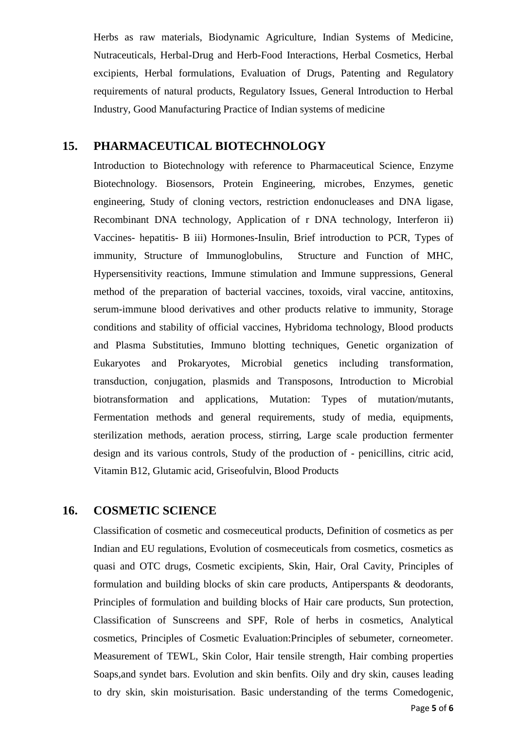Herbs as raw materials, Biodynamic Agriculture, Indian Systems of Medicine, Nutraceuticals, Herbal-Drug and Herb-Food Interactions, Herbal Cosmetics, Herbal excipients, Herbal formulations, Evaluation of Drugs, Patenting and Regulatory requirements of natural products, Regulatory Issues, General Introduction to Herbal Industry, Good Manufacturing Practice of Indian systems of medicine

#### **15. PHARMACEUTICAL BIOTECHNOLOGY**

Introduction to Biotechnology with reference to Pharmaceutical Science, Enzyme Biotechnology. Biosensors, Protein Engineering, microbes, Enzymes, genetic engineering, Study of cloning vectors, restriction endonucleases and DNA ligase, Recombinant DNA technology, Application of r DNA technology, Interferon ii) Vaccines- hepatitis- B iii) Hormones-Insulin, Brief introduction to PCR, Types of immunity, Structure of Immunoglobulins, Structure and Function of MHC, Hypersensitivity reactions, Immune stimulation and Immune suppressions, General method of the preparation of bacterial vaccines, toxoids, viral vaccine, antitoxins, serum-immune blood derivatives and other products relative to immunity, Storage conditions and stability of official vaccines, Hybridoma technology, Blood products and Plasma Substituties, Immuno blotting techniques, Genetic organization of Eukaryotes and Prokaryotes, Microbial genetics including transformation, transduction, conjugation, plasmids and Transposons, Introduction to Microbial biotransformation and applications, Mutation: Types of mutation/mutants, Fermentation methods and general requirements, study of media, equipments, sterilization methods, aeration process, stirring, Large scale production fermenter design and its various controls, Study of the production of - penicillins, citric acid, Vitamin B12, Glutamic acid, Griseofulvin, Blood Products

#### **16. COSMETIC SCIENCE**

Page **5** of **6** Classification of cosmetic and cosmeceutical products, Definition of cosmetics as per Indian and EU regulations, Evolution of cosmeceuticals from cosmetics, cosmetics as quasi and OTC drugs, Cosmetic excipients, Skin, Hair, Oral Cavity, Principles of formulation and building blocks of skin care products, Antiperspants & deodorants, Principles of formulation and building blocks of Hair care products, Sun protection, Classification of Sunscreens and SPF, Role of herbs in cosmetics, Analytical cosmetics, Principles of Cosmetic Evaluation:Principles of sebumeter, corneometer. Measurement of TEWL, Skin Color, Hair tensile strength, Hair combing properties Soaps,and syndet bars. Evolution and skin benfits. Oily and dry skin, causes leading to dry skin, skin moisturisation. Basic understanding of the terms Comedogenic,